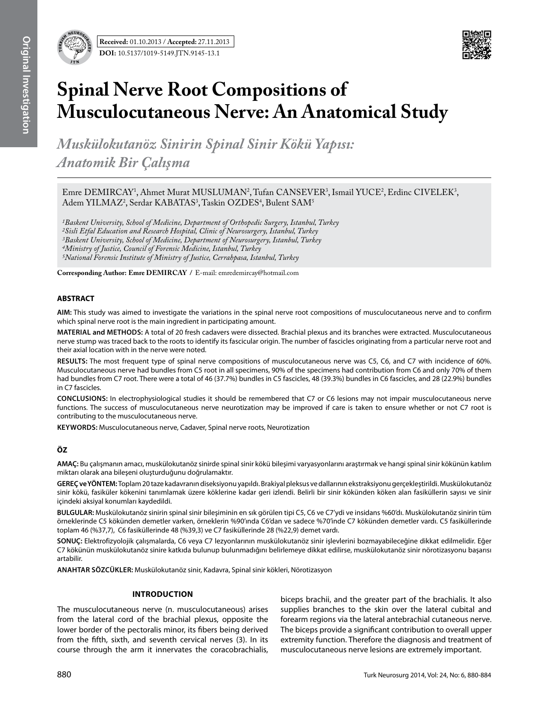

# **Spinal Nerve Root Compositions of Musculocutaneous Nerve: An Anatomical Study**

*Muskülokutanöz Sinirin Spinal Sinir Kökü Yapısı: Anatomik Bir Çalışma* 

Emre DEMIRCAY<sup>1</sup>, Ahmet Murat MUSLUMAN<sup>2</sup>, Tufan CANSEVER<sup>3</sup>, Ismail YUCE<sup>2</sup>, Erdinc CIVELEK<sup>3</sup>, Adem YILMAZ<sup>2</sup>, Serdar KABATAS<sup>3</sup>, Taskin OZDES<sup>4</sup>, Bulent SAM<sup>5</sup>

*1Baskent University, School of Medicine, Department of Orthopedic Surgery, Istanbul, Turkey 2Sisli Etfal Education and Research Hospital, Clinic of Neurosurgery, Istanbul, Turkey 3Baskent University, School of Medicine, Department of Neurosurgery, Istanbul, Turkey 4Ministry of Justice, Council of Forensic Medicine, Istanbul, Turkey 5National Forensic Institute of Ministry of Justice, Cerrahpasa, Istanbul, Turkey*

**Corresponding Author: Emre DemIrcay /** E-mail: emredemircay@hotmail.com

# **ABSTRACT**

**AIM:** This study was aimed to investigate the variations in the spinal nerve root compositions of musculocutaneous nerve and to confirm which spinal nerve root is the main ingredient in participating amount.

**MaterIal and Methods:** A total of 20 fresh cadavers were dissected. Brachial plexus and its branches were extracted. Musculocutaneous nerve stump was traced back to the roots to identify its fascicular origin. The number of fascicles originating from a particular nerve root and their axial location with in the nerve were noted.

**Results:** The most frequent type of spinal nerve compositions of musculocutaneous nerve was C5, C6, and C7 with incidence of 60%. Musculocutaneous nerve had bundles from C5 root in all specimens, 90% of the specimens had contribution from C6 and only 70% of them had bundles from C7 root. There were a total of 46 (37.7%) bundles in C5 fascicles, 48 (39.3%) bundles in C6 fascicles, and 28 (22.9%) bundles in C7 fascicles.

**ConclusIons:** In electrophysiological studies it should be remembered that C7 or C6 lesions may not impair musculocutaneous nerve functions. The success of musculocutaneous nerve neurotization may be improved if care is taken to ensure whether or not C7 root is contributing to the musculocutaneous nerve.

**Keywords:** Musculocutaneous nerve, Cadaver, Spinal nerve roots, Neurotization

# **ÖZ**

**AMAÇ:** Bu çalışmanın amacı, muskülokutanöz sinirde spinal sinir kökü bileşimi varyasyonlarını araştırmak ve hangi spinal sinir kökünün katılım miktarı olarak ana bileşeni oluşturduğunu doğrulamaktır.

**GEREÇ ve YÖNTEM:** Toplam 20 taze kadavranın diseksiyonu yapıldı. Brakiyal pleksus ve dallarının ekstraksiyonu gerçekleştirildi. Muskülokutanöz sinir kökü, fasiküler kökenini tanımlamak üzere köklerine kadar geri izlendi. Belirli bir sinir kökünden köken alan fasiküllerin sayısı ve sinir içindeki aksiyal konumları kaydedildi.

**BULGULAR:** Muskülokutanöz sinirin spinal sinir bileşiminin en sık görülen tipi C5, C6 ve C7'ydi ve insidans %60'dı. Muskülokutanöz sinirin tüm örneklerinde C5 kökünden demetler varken, örneklerin %90'ında C6'dan ve sadece %70'inde C7 kökünden demetler vardı. C5 fasiküllerinde toplam 46 (%37,7), C6 fasiküllerinde 48 (%39,3) ve C7 fasiküllerinde 28 (%22,9) demet vardı.

**SONUÇ:** Elektrofizyolojik çalışmalarda, C6 veya C7 lezyonlarının muskülokutanöz sinir işlevlerini bozmayabileceğine dikkat edilmelidir. Eğer C7 kökünün muskülokutanöz sinire katkıda bulunup bulunmadığını belirlemeye dikkat edilirse, muskülokutanöz sinir nörotizasyonu başarısı artabilir.

**ANAHTAR SÖZCÜKLER:** Muskülokutanöz sinir, Kadavra, Spinal sinir kökleri, Nörotizasyon

# **Introduction**

The musculocutaneous nerve (n. musculocutaneous) arises from the lateral cord of the brachial plexus, opposite the lower border of the pectoralis minor, its fibers being derived from the fifth, sixth, and seventh cervical nerves (3). In its course through the arm it innervates the coracobrachialis,

biceps brachii, and the greater part of the brachialis. It also supplies branches to the skin over the lateral cubital and forearm regions via the lateral antebrachial cutaneous nerve. The biceps provide a significant contribution to overall upper extremity function. Therefore the diagnosis and treatment of musculocutaneous nerve lesions are extremely important.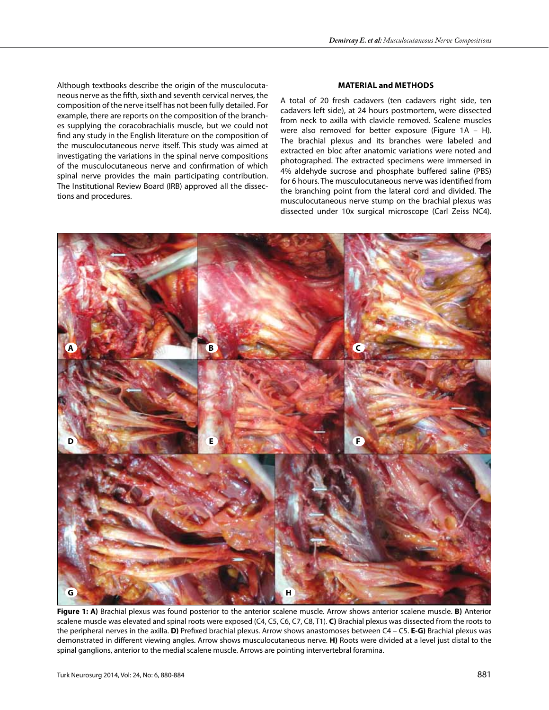Although textbooks describe the origin of the musculocutaneous nerve as the fifth, sixth and seventh cervical nerves, the composition of the nerve itself has not been fully detailed. For example, there are reports on the composition of the branches supplying the coracobrachialis muscle, but we could not find any study in the English literature on the composition of the musculocutaneous nerve itself. This study was aimed at investigating the variations in the spinal nerve compositions of the musculocutaneous nerve and confirmation of which spinal nerve provides the main participating contribution. The Institutional Review Board (IRB) approved all the dissections and procedures.

## **Material and Methods**

A total of 20 fresh cadavers (ten cadavers right side, ten cadavers left side), at 24 hours postmortem, were dissected from neck to axilla with clavicle removed. Scalene muscles were also removed for better exposure (Figure 1A – H). The brachial plexus and its branches were labeled and extracted en bloc after anatomic variations were noted and photographed. The extracted specimens were immersed in 4% aldehyde sucrose and phosphate buffered saline (PBS) for 6 hours. The musculocutaneous nerve was identified from the branching point from the lateral cord and divided. The musculocutaneous nerve stump on the brachial plexus was dissected under 10x surgical microscope (Carl Zeiss NC4).



**Figure 1: A)** Brachial plexus was found posterior to the anterior scalene muscle. Arrow shows anterior scalene muscle. **B)** Anterior scalene muscle was elevated and spinal roots were exposed (C4, C5, C6, C7, C8, T1). **C)** Brachial plexus was dissected from the roots to the peripheral nerves in the axilla. **D)** Prefixed brachial plexus. Arrow shows anastomoses between C4 – C5. **E-G)** Brachial plexus was demonstrated in different viewing angles. Arrow shows musculocutaneous nerve. **H)** Roots were divided at a level just distal to the spinal ganglions, anterior to the medial scalene muscle. Arrows are pointing intervertebral foramina.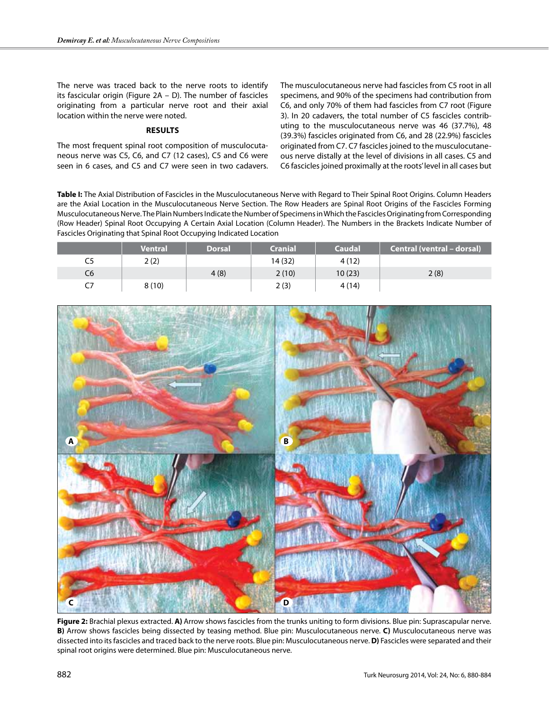The nerve was traced back to the nerve roots to identify its fascicular origin (Figure 2A – D). The number of fascicles originating from a particular nerve root and their axial location within the nerve were noted.

## **Results**

The most frequent spinal root composition of musculocutaneous nerve was C5, C6, and C7 (12 cases), C5 and C6 were seen in 6 cases, and C5 and C7 were seen in two cadavers.

The musculocutaneous nerve had fascicles from C5 root in all specimens, and 90% of the specimens had contribution from C6, and only 70% of them had fascicles from C7 root (Figure 3). In 20 cadavers, the total number of C5 fascicles contributing to the musculocutaneous nerve was 46 (37.7%), 48 (39.3%) fascicles originated from C6, and 28 (22.9%) fascicles originated from C7. C7 fascicles joined to the musculocutaneous nerve distally at the level of divisions in all cases. C5 and C6 fascicles joined proximally at the roots' level in all cases but

**Table I:** The Axial Distribution of Fascicles in the Musculocutaneous Nerve with Regard to Their Spinal Root Origins. Column Headers are the Axial Location in the Musculocutaneous Nerve Section. The Row Headers are Spinal Root Origins of the Fascicles Forming Musculocutaneous Nerve. The Plain Numbers Indicate the Number of Specimens in Which the Fascicles Originating from Corresponding (Row Header) Spinal Root Occupying A Certain Axial Location (Column Header). The Numbers in the Brackets Indicate Number of Fascicles Originating that Spinal Root Occupying Indicated Location

|    | <b>Ventral</b> | <b>Dorsal</b> | <b>Cranial</b> | <b>Caudal</b> | Central (ventral - dorsal) |
|----|----------------|---------------|----------------|---------------|----------------------------|
| C5 | 2(2)           |               | 14(32)         | 4(12)         |                            |
| C6 |                | 4(8)          | 2(10)          | 10(23)        | 2(8)                       |
|    | 8(10)          |               | 2(3)           | 4 (14)        |                            |



**Figure 2:** Brachial plexus extracted. **A)** Arrow shows fascicles from the trunks uniting to form divisions. Blue pin: Suprascapular nerve. **B)** Arrow shows fascicles being dissected by teasing method. Blue pin: Musculocutaneous nerve. **C)** Musculocutaneous nerve was dissected into its fascicles and traced back to the nerve roots. Blue pin: Musculocutaneous nerve. **D)** Fascicles were separated and their spinal root origins were determined. Blue pin: Musculocutaneous nerve.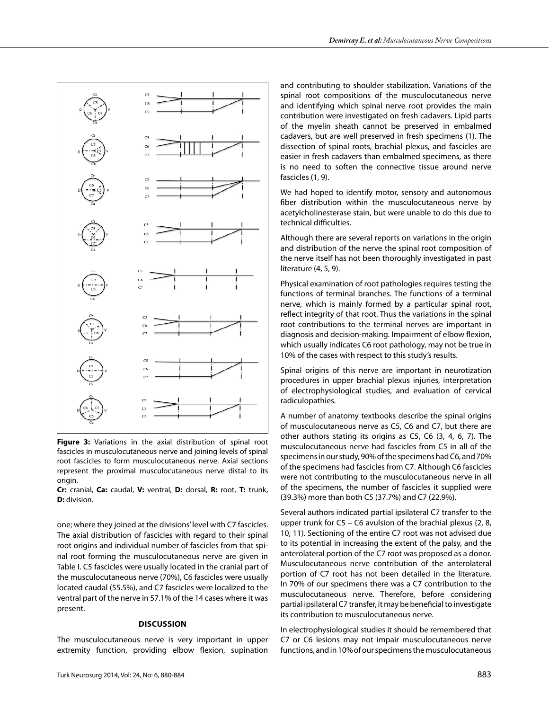

**Figure 3:** Variations in the axial distribution of spinal root fascicles in musculocutaneous nerve and joining levels of spinal root fascicles to form musculocutaneous nerve. Axial sections represent the proximal musculocutaneous nerve distal to its origin.

**Cr:** cranial, **Ca:** caudal, **V:** ventral, **D:** dorsal, **R:** root, **T:** trunk, **D:** division.

one; where they joined at the divisions' level with C7 fascicles. The axial distribution of fascicles with regard to their spinal root origins and individual number of fascicles from that spinal root forming the musculocutaneous nerve are given in Table I. C5 fascicles were usually located in the cranial part of the musculocutaneous nerve (70%), C6 fascicles were usually located caudal (55.5%), and C7 fascicles were localized to the ventral part of the nerve in 57.1% of the 14 cases where it was present.

## **Discussion**

The musculocutaneous nerve is very important in upper extremity function, providing elbow flexion, supination

and contributing to shoulder stabilization. Variations of the spinal root compositions of the musculocutaneous nerve and identifying which spinal nerve root provides the main contribution were investigated on fresh cadavers. Lipid parts of the myelin sheath cannot be preserved in embalmed cadavers, but are well preserved in fresh specimens (1). The dissection of spinal roots, brachial plexus, and fascicles are easier in fresh cadavers than embalmed specimens, as there is no need to soften the connective tissue around nerve fascicles (1, 9).

We had hoped to identify motor, sensory and autonomous fiber distribution within the musculocutaneous nerve by acetylcholinesterase stain, but were unable to do this due to technical difficulties.

Although there are several reports on variations in the origin and distribution of the nerve the spinal root composition of the nerve itself has not been thoroughly investigated in past literature (4, 5, 9).

Physical examination of root pathologies requires testing the functions of terminal branches. The functions of a terminal nerve, which is mainly formed by a particular spinal root, reflect integrity of that root. Thus the variations in the spinal root contributions to the terminal nerves are important in diagnosis and decision-making. Impairment of elbow flexion, which usually indicates C6 root pathology, may not be true in 10% of the cases with respect to this study's results.

Spinal origins of this nerve are important in neurotization procedures in upper brachial plexus injuries, interpretation of electrophysiological studies, and evaluation of cervical radiculopathies.

A number of anatomy textbooks describe the spinal origins of musculocutaneous nerve as C5, C6 and C7, but there are other authors stating its origins as C5, C6 (3, 4, 6, 7). The musculocutaneous nerve had fascicles from C5 in all of the specimens in our study, 90% of the specimens had C6, and 70% of the specimens had fascicles from C7. Although C6 fascicles were not contributing to the musculocutaneous nerve in all of the specimens, the number of fascicles it supplied were (39.3%) more than both C5 (37.7%) and C7 (22.9%).

Several authors indicated partial ipsilateral C7 transfer to the upper trunk for C5 – C6 avulsion of the brachial plexus (2, 8, 10, 11). Sectioning of the entire C7 root was not advised due to its potential in increasing the extent of the palsy, and the anterolateral portion of the C7 root was proposed as a donor. Musculocutaneous nerve contribution of the anterolateral portion of C7 root has not been detailed in the literature. In 70% of our specimens there was a C7 contribution to the musculocutaneous nerve. Therefore, before considering partial ipsilateral C7 transfer, it may be beneficial to investigate its contribution to musculocutaneous nerve.

In electrophysiological studies it should be remembered that C7 or C6 lesions may not impair musculocutaneous nerve functions, and in 10% of our specimens the musculocutaneous